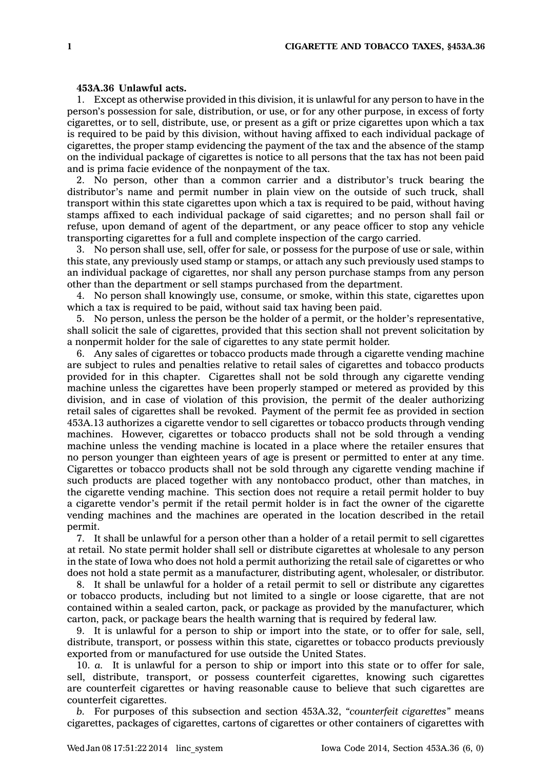## **453A.36 Unlawful acts.**

1. Except as otherwise provided in this division, it is unlawful for any person to have in the person's possession for sale, distribution, or use, or for any other purpose, in excess of forty cigarettes, or to sell, distribute, use, or present as <sup>a</sup> gift or prize cigarettes upon which <sup>a</sup> tax is required to be paid by this division, without having affixed to each individual package of cigarettes, the proper stamp evidencing the payment of the tax and the absence of the stamp on the individual package of cigarettes is notice to all persons that the tax has not been paid and is prima facie evidence of the nonpayment of the tax.

2. No person, other than <sup>a</sup> common carrier and <sup>a</sup> distributor's truck bearing the distributor's name and permit number in plain view on the outside of such truck, shall transport within this state cigarettes upon which <sup>a</sup> tax is required to be paid, without having stamps affixed to each individual package of said cigarettes; and no person shall fail or refuse, upon demand of agent of the department, or any peace officer to stop any vehicle transporting cigarettes for <sup>a</sup> full and complete inspection of the cargo carried.

3. No person shall use, sell, offer for sale, or possess for the purpose of use or sale, within this state, any previously used stamp or stamps, or attach any such previously used stamps to an individual package of cigarettes, nor shall any person purchase stamps from any person other than the department or sell stamps purchased from the department.

4. No person shall knowingly use, consume, or smoke, within this state, cigarettes upon which <sup>a</sup> tax is required to be paid, without said tax having been paid.

5. No person, unless the person be the holder of <sup>a</sup> permit, or the holder's representative, shall solicit the sale of cigarettes, provided that this section shall not prevent solicitation by <sup>a</sup> nonpermit holder for the sale of cigarettes to any state permit holder.

6. Any sales of cigarettes or tobacco products made through <sup>a</sup> cigarette vending machine are subject to rules and penalties relative to retail sales of cigarettes and tobacco products provided for in this chapter. Cigarettes shall not be sold through any cigarette vending machine unless the cigarettes have been properly stamped or metered as provided by this division, and in case of violation of this provision, the permit of the dealer authorizing retail sales of cigarettes shall be revoked. Payment of the permit fee as provided in section 453A.13 authorizes <sup>a</sup> cigarette vendor to sell cigarettes or tobacco products through vending machines. However, cigarettes or tobacco products shall not be sold through <sup>a</sup> vending machine unless the vending machine is located in <sup>a</sup> place where the retailer ensures that no person younger than eighteen years of age is present or permitted to enter at any time. Cigarettes or tobacco products shall not be sold through any cigarette vending machine if such products are placed together with any nontobacco product, other than matches, in the cigarette vending machine. This section does not require <sup>a</sup> retail permit holder to buy <sup>a</sup> cigarette vendor's permit if the retail permit holder is in fact the owner of the cigarette vending machines and the machines are operated in the location described in the retail permit.

7. It shall be unlawful for <sup>a</sup> person other than <sup>a</sup> holder of <sup>a</sup> retail permit to sell cigarettes at retail. No state permit holder shall sell or distribute cigarettes at wholesale to any person in the state of Iowa who does not hold <sup>a</sup> permit authorizing the retail sale of cigarettes or who does not hold <sup>a</sup> state permit as <sup>a</sup> manufacturer, distributing agent, wholesaler, or distributor.

8. It shall be unlawful for <sup>a</sup> holder of <sup>a</sup> retail permit to sell or distribute any cigarettes or tobacco products, including but not limited to <sup>a</sup> single or loose cigarette, that are not contained within <sup>a</sup> sealed carton, pack, or package as provided by the manufacturer, which carton, pack, or package bears the health warning that is required by federal law.

9. It is unlawful for <sup>a</sup> person to ship or import into the state, or to offer for sale, sell, distribute, transport, or possess within this state, cigarettes or tobacco products previously exported from or manufactured for use outside the United States.

10. *a.* It is unlawful for <sup>a</sup> person to ship or import into this state or to offer for sale, sell, distribute, transport, or possess counterfeit cigarettes, knowing such cigarettes are counterfeit cigarettes or having reasonable cause to believe that such cigarettes are counterfeit cigarettes.

*b.* For purposes of this subsection and section 453A.32, *"counterfeit cigarettes"* means cigarettes, packages of cigarettes, cartons of cigarettes or other containers of cigarettes with